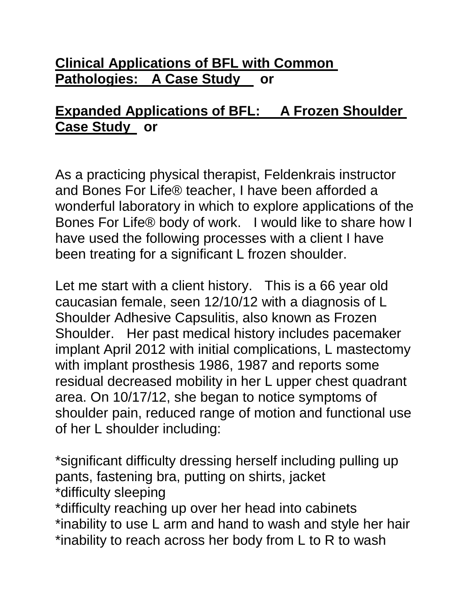### **Clinical Applications of BFL with Common Pathologies: A Case Study or**

# **Expanded Applications of BFL: A Frozen Shoulder Case Study or**

As a practicing physical therapist, Feldenkrais instructor and Bones For Life® teacher, I have been afforded a wonderful laboratory in which to explore applications of the Bones For Life® body of work. I would like to share how I have used the following processes with a client I have been treating for a significant L frozen shoulder.

Let me start with a client history. This is a 66 year old caucasian female, seen 12/10/12 with a diagnosis of L Shoulder Adhesive Capsulitis, also known as Frozen Shoulder. Her past medical history includes pacemaker implant April 2012 with initial complications, L mastectomy with implant prosthesis 1986, 1987 and reports some residual decreased mobility in her L upper chest quadrant area. On 10/17/12, she began to notice symptoms of shoulder pain, reduced range of motion and functional use of her L shoulder including:

\*significant difficulty dressing herself including pulling up pants, fastening bra, putting on shirts, jacket \*difficulty sleeping

\*difficulty reaching up over her head into cabinets \*inability to use L arm and hand to wash and style her hair \*inability to reach across her body from L to R to wash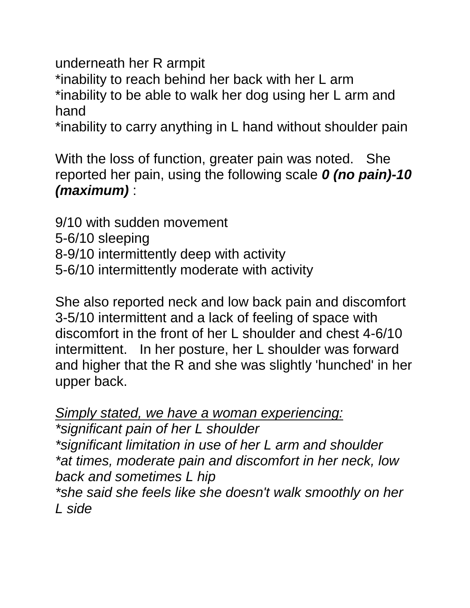underneath her R armpit

\*inability to reach behind her back with her L arm \*inability to be able to walk her dog using her L arm and hand

\*inability to carry anything in L hand without shoulder pain

With the loss of function, greater pain was noted. She reported her pain, using the following scale *0 (no pain)-10 (maximum)* :

9/10 with sudden movement 5-6/10 sleeping 8-9/10 intermittently deep with activity 5-6/10 intermittently moderate with activity

She also reported neck and low back pain and discomfort 3-5/10 intermittent and a lack of feeling of space with discomfort in the front of her L shoulder and chest 4-6/10 intermittent. In her posture, her L shoulder was forward and higher that the R and she was slightly 'hunched' in her upper back.

*Simply stated, we have a woman experiencing:*

*\*significant pain of her L shoulder \*significant limitation in use of her L arm and shoulder \*at times, moderate pain and discomfort in her neck, low back and sometimes L hip*

*\*she said she feels like she doesn't walk smoothly on her L side*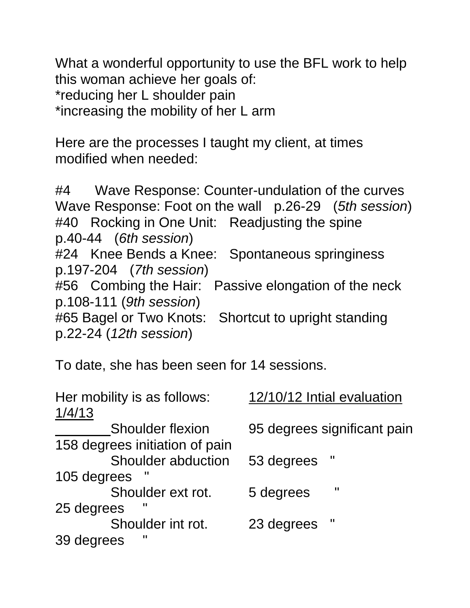What a wonderful opportunity to use the BFL work to help this woman achieve her goals of: \*reducing her L shoulder pain \*increasing the mobility of her L arm

Here are the processes I taught my client, at times modified when needed:

#4 Wave Response: Counter-undulation of the curves Wave Response: Foot on the wall p.26-29 (*5th session*) #40 Rocking in One Unit: Readjusting the spine p.40-44 (*6th session*) #24 Knee Bends a Knee: Spontaneous springiness p.197-204 (*7th session*) #56 Combing the Hair: Passive elongation of the neck p.108-111 (*9th session*) #65 Bagel or Two Knots: Shortcut to upright standing p.22-24 (*12th session*)

To date, she has been seen for 14 sessions.

| Her mobility is as follows:<br>1/4/13 | 12/10/12 Intial evaluation  |
|---------------------------------------|-----------------------------|
| <b>Shoulder flexion</b>               | 95 degrees significant pain |
| 158 degrees initiation of pain        |                             |
| Shoulder abduction                    | 53 degrees                  |
| 105 degrees                           |                             |
| Shoulder ext rot.                     | Ш<br>5 degrees              |
| 25 degrees                            |                             |
| Shoulder int rot.                     | Ш<br>23 degrees             |
| Н<br>39 degrees                       |                             |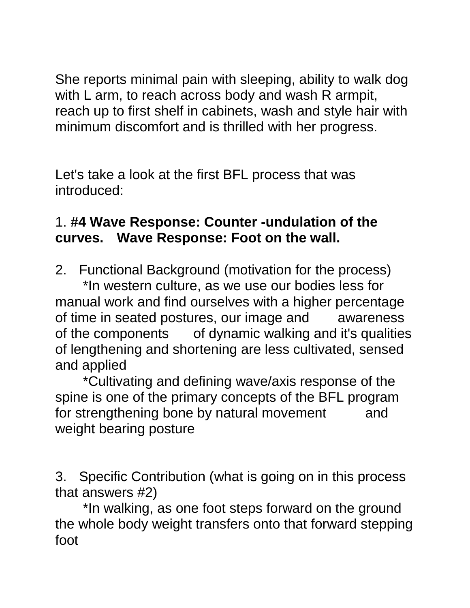She reports minimal pain with sleeping, ability to walk dog with L arm, to reach across body and wash R armpit, reach up to first shelf in cabinets, wash and style hair with minimum discomfort and is thrilled with her progress.

Let's take a look at the first BFL process that was introduced:

# 1. **#4 Wave Response: Counter -undulation of the curves. Wave Response: Foot on the wall.**

2. Functional Background (motivation for the process)

\*In western culture, as we use our bodies less for manual work and find ourselves with a higher percentage of time in seated postures, our image and awareness of the components of dynamic walking and it's qualities of lengthening and shortening are less cultivated, sensed and applied

\*Cultivating and defining wave/axis response of the spine is one of the primary concepts of the BFL program for strengthening bone by natural movement and weight bearing posture

3. Specific Contribution (what is going on in this process that answers #2)

\*In walking, as one foot steps forward on the ground the whole body weight transfers onto that forward stepping foot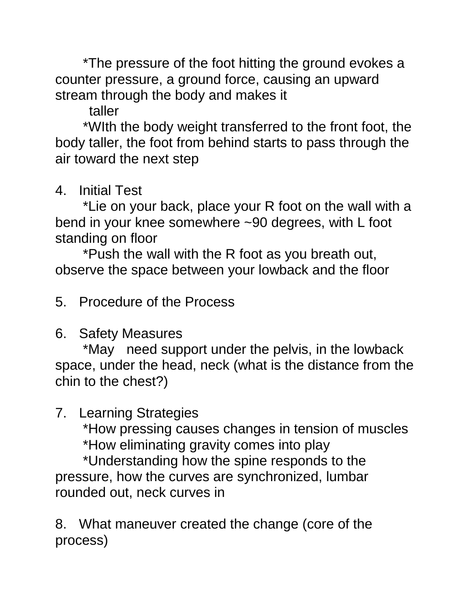\*The pressure of the foot hitting the ground evokes a counter pressure, a ground force, causing an upward stream through the body and makes it

taller

\*WIth the body weight transferred to the front foot, the body taller, the foot from behind starts to pass through the air toward the next step

4. Initial Test

\*Lie on your back, place your R foot on the wall with a bend in your knee somewhere ~90 degrees, with L foot standing on floor

\*Push the wall with the R foot as you breath out, observe the space between your lowback and the floor

5. Procedure of the Process

### 6. Safety Measures

\*May need support under the pelvis, in the lowback space, under the head, neck (what is the distance from the chin to the chest?)

7. Learning Strategies

\*How pressing causes changes in tension of muscles

\*How eliminating gravity comes into play

\*Understanding how the spine responds to the pressure, how the curves are synchronized, lumbar rounded out, neck curves in

8. What maneuver created the change (core of the process)